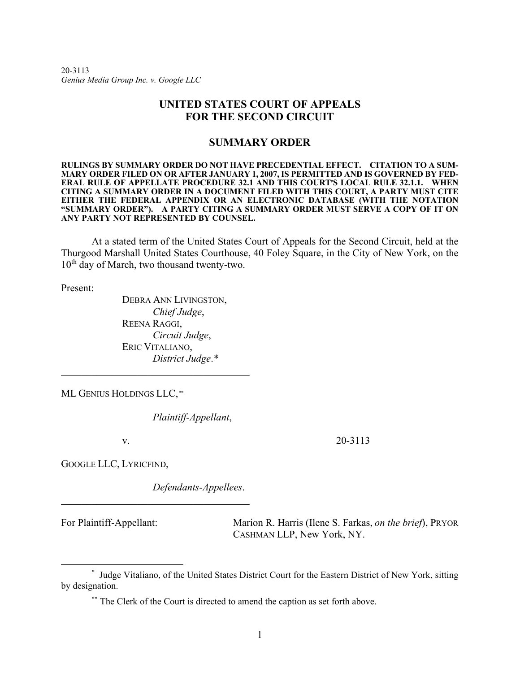20-3113 *Genius Media Group Inc. v. Google LLC*

## **UNITED STATES COURT OF APPEALS FOR THE SECOND CIRCUIT**

### **SUMMARY ORDER**

**RULINGS BY SUMMARY ORDER DO NOT HAVE PRECEDENTIAL EFFECT. CITATION TO A SUM-MARY ORDER FILED ON OR AFTER JANUARY 1, 2007, IS PERMITTED AND IS GOVERNED BY FED-ERAL RULE OF APPELLATE PROCEDURE 32.1 AND THIS COURT'S LOCAL RULE 32.1.1. WHEN CITING A SUMMARY ORDER IN A DOCUMENT FILED WITH THIS COURT, A PARTY MUST CITE EITHER THE FEDERAL APPENDIX OR AN ELECTRONIC DATABASE (WITH THE NOTATION "SUMMARY ORDER"). A PARTY CITING A SUMMARY ORDER MUST SERVE A COPY OF IT ON ANY PARTY NOT REPRESENTED BY COUNSEL.** 

At a stated term of the United States Court of Appeals for the Second Circuit, held at the Thurgood Marshall United States Courthouse, 40 Foley Square, in the City of New York, on the 10<sup>th</sup> day of March, two thousand twenty-two.

Present:

DEBRA ANN LIVINGSTON, *Chief Judge*, REENA RAGGI, *Circuit Judge*, ERIC VITALIANO, *District Judge*.[\\*](#page-0-0)

\_\_\_\_\_\_\_\_\_\_\_\_\_\_\_\_\_\_\_\_\_\_\_\_\_\_\_\_\_\_\_\_\_\_\_\_\_

ML GENIUS HOLDINGS LLC,[\\*\\*](#page-0-1)

*Plaintiff-Appellant*,

v. 20-3113

GOOGLE LLC, LYRICFIND,

*Defendants-Appellees*.

For Plaintiff-Appellant: Marion R. Harris (Ilene S. Farkas, *on the brief*), PRYOR CASHMAN LLP, New York, NY.

<span id="page-0-1"></span><span id="page-0-0"></span><sup>\*</sup> Judge Vitaliano, of the United States District Court for the Eastern District of New York, sitting by designation.

<sup>\*\*</sup> The Clerk of the Court is directed to amend the caption as set forth above.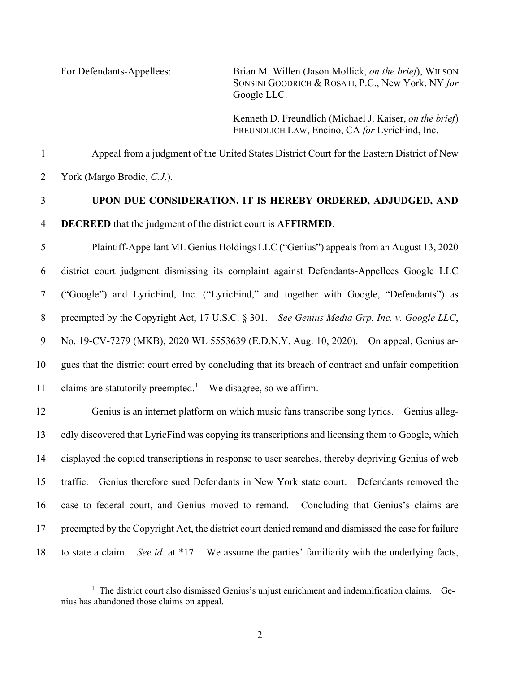For Defendants-Appellees: Brian M. Willen (Jason Mollick, *on the brief*), WILSON SONSINI GOODRICH & ROSATI, P.C., New York, NY *for* Google LLC.

> Kenneth D. Freundlich (Michael J. Kaiser, *on the brief*) FREUNDLICH LAW, Encino, CA *for* LyricFind, Inc.

Appeal from a judgment of the United States District Court for the Eastern District of New

York (Margo Brodie, *C.J*.).

# **UPON DUE CONSIDERATION, IT IS HEREBY ORDERED, ADJUDGED, AND**

**DECREED** that the judgment of the district court is **AFFIRMED**.

 Plaintiff-Appellant ML Genius Holdings LLC ("Genius") appeals from an August 13, 2020 district court judgment dismissing its complaint against Defendants-Appellees Google LLC ("Google") and LyricFind, Inc. ("LyricFind," and together with Google, "Defendants") as preempted by the Copyright Act, 17 U.S.C. § 301. *See Genius Media Grp. Inc. v. Google LLC*, No. 19-CV-7279 (MKB), 2020 WL 5553639 (E.D.N.Y. Aug. 10, 2020). On appeal, Genius ar- gues that the district court erred by concluding that its breach of contract and unfair competition claims are statutorily preempted.<sup>1</sup> We disagree, so we affirm.

 Genius is an internet platform on which music fans transcribe song lyrics. Genius alleg- edly discovered that LyricFind was copying its transcriptions and licensing them to Google, which displayed the copied transcriptions in response to user searches, thereby depriving Genius of web traffic. Genius therefore sued Defendants in New York state court. Defendants removed the case to federal court, and Genius moved to remand. Concluding that Genius's claims are preempted by the Copyright Act, the district court denied remand and dismissed the case for failure to state a claim. *See id.* at \*17. We assume the parties' familiarity with the underlying facts,

<span id="page-1-0"></span><sup>&</sup>lt;sup>1</sup> The district court also dismissed Genius's unjust enrichment and indemnification claims. Genius has abandoned those claims on appeal.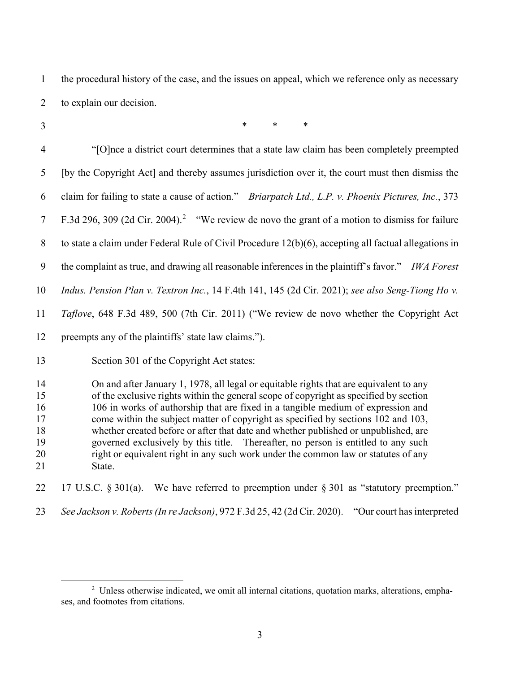the procedural history of the case, and the issues on appeal, which we reference only as necessary to explain our decision.

\* \* \*

 "[O]nce a district court determines that a state law claim has been completely preempted [by the Copyright Act] and thereby assumes jurisdiction over it, the court must then dismiss the claim for failing to state a cause of action." *Briarpatch Ltd., L.P. v. Phoenix Pictures, Inc.*, 373 7 F.3d [2](#page-2-0)96, 309 (2d Cir. 2004).<sup>2</sup> "We review de novo the grant of a motion to dismiss for failure to state a claim under Federal Rule of Civil Procedure 12(b)(6), accepting all factual allegations in the complaint as true, and drawing all reasonable inferences in the plaintiff's favor." *IWA Forest Indus. Pension Plan v. Textron Inc.*, 14 F.4th 141, 145 (2d Cir. 2021); *see also Seng-Tiong Ho v. Taflove*, 648 F.3d 489, 500 (7th Cir. 2011) ("We review de novo whether the Copyright Act preempts any of the plaintiffs' state law claims."). Section 301 of the Copyright Act states: On and after January 1, 1978, all legal or equitable rights that are equivalent to any of the exclusive rights within the general scope of copyright as specified by section 106 in works of authorship that are fixed in a tangible medium of expression and come within the subject matter of copyright as specified by sections 102 and 103, whether created before or after that date and whether published or unpublished, are governed exclusively by this title. Thereafter, no person is entitled to any such right or equivalent right in any such work under the common law or statutes of any

State.

22 17 U.S.C. § 301(a). We have referred to preemption under § 301 as "statutory preemption."

*See Jackson v. Roberts (In re Jackson)*, 972 F.3d 25, 42 (2d Cir. 2020). "Our court has interpreted

<span id="page-2-0"></span><sup>&</sup>lt;sup>2</sup> Unless otherwise indicated, we omit all internal citations, quotation marks, alterations, emphases, and footnotes from citations.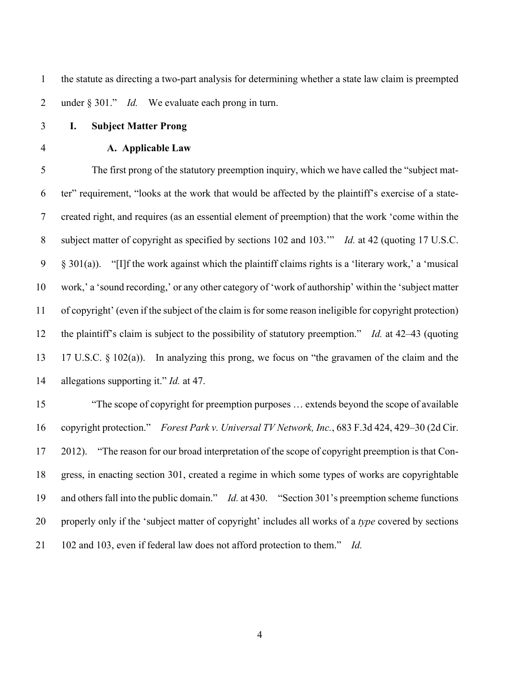the statute as directing a two-part analysis for determining whether a state law claim is preempted under § 301." *Id.* We evaluate each prong in turn.

- **I. Subject Matter Prong**
- 

## **A. Applicable Law**

 The first prong of the statutory preemption inquiry, which we have called the "subject mat- ter" requirement, "looks at the work that would be affected by the plaintiff's exercise of a state- created right, and requires (as an essential element of preemption) that the work 'come within the subject matter of copyright as specified by sections 102 and 103.'" *Id.* at 42 (quoting 17 U.S.C. § 301(a)). "[I]f the work against which the plaintiff claims rights is a 'literary work,' a 'musical work,' a 'sound recording,' or any other category of 'work of authorship' within the 'subject matter of copyright' (even if the subject of the claim is for some reason ineligible for copyright protection) the plaintiff's claim is subject to the possibility of statutory preemption." *Id.* at 42–43 (quoting 17 U.S.C. § 102(a)). In analyzing this prong, we focus on "the gravamen of the claim and the allegations supporting it." *Id.* at 47.

 "The scope of copyright for preemption purposes … extends beyond the scope of available copyright protection." *Forest Park v. Universal TV Network, Inc.*, 683 F.3d 424, 429–30 (2d Cir. 2012). "The reason for our broad interpretation of the scope of copyright preemption is that Con- gress, in enacting section 301, created a regime in which some types of works are copyrightable and others fall into the public domain." *Id.* at 430. "Section 301's preemption scheme functions properly only if the 'subject matter of copyright' includes all works of a *type* covered by sections 102 and 103, even if federal law does not afford protection to them." *Id.*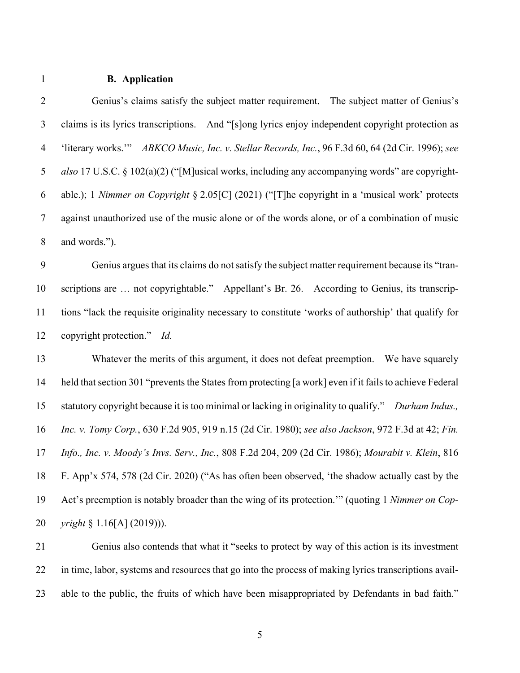## **B. Application**

| $\overline{2}$ | Genius's claims satisfy the subject matter requirement. The subject matter of Genius's                  |
|----------------|---------------------------------------------------------------------------------------------------------|
| $\mathfrak{Z}$ | claims is its lyrics transcriptions. And "[s]ong lyrics enjoy independent copyright protection as       |
| $\overline{4}$ | 'literary works.'" ABKCO Music, Inc. v. Stellar Records, Inc., 96 F.3d 60, 64 (2d Cir. 1996); see       |
| $\mathfrak{S}$ | also 17 U.S.C. § 102(a)(2) ("[M]usical works, including any accompanying words" are copyright-          |
| 6              | able.); 1 Nimmer on Copyright § 2.05[C] (2021) ("[T]he copyright in a 'musical work' protects           |
| $\tau$         | against unauthorized use of the music alone or of the words alone, or of a combination of music         |
| $8\,$          | and words.").                                                                                           |
| 9              | Genius argues that its claims do not satisfy the subject matter requirement because its "tran-          |
| 10             | scriptions are  not copyrightable." Appellant's Br. 26. According to Genius, its transcrip-             |
| 11             | tions "lack the requisite originality necessary to constitute 'works of authorship' that qualify for    |
| 12             | copyright protection." Id.                                                                              |
| 13             | Whatever the merits of this argument, it does not defeat preemption. We have squarely                   |
| 14             | held that section 301 "prevents the States from protecting [a work] even if it fails to achieve Federal |
| 15             | statutory copyright because it is too minimal or lacking in originality to qualify." Durham Indus.,     |
| 16             | Inc. v. Tomy Corp., 630 F.2d 905, 919 n.15 (2d Cir. 1980); see also Jackson, 972 F.3d at 42; Fin.       |
| 17             | Info., Inc. v. Moody's Invs. Serv., Inc., 808 F.2d 204, 209 (2d Cir. 1986); Mourabit v. Klein, 816      |
| 18             | F. App'x 574, 578 (2d Cir. 2020) ("As has often been observed, 'the shadow actually cast by the         |
| 19             | Act's preemption is notably broader than the wing of its protection." (quoting 1 Nimmer on Cop-         |
| 20             | <i>yright</i> § 1.16[A] (2019))).                                                                       |

 Genius also contends that what it "seeks to protect by way of this action is its investment in time, labor, systems and resources that go into the process of making lyrics transcriptions avail-able to the public, the fruits of which have been misappropriated by Defendants in bad faith."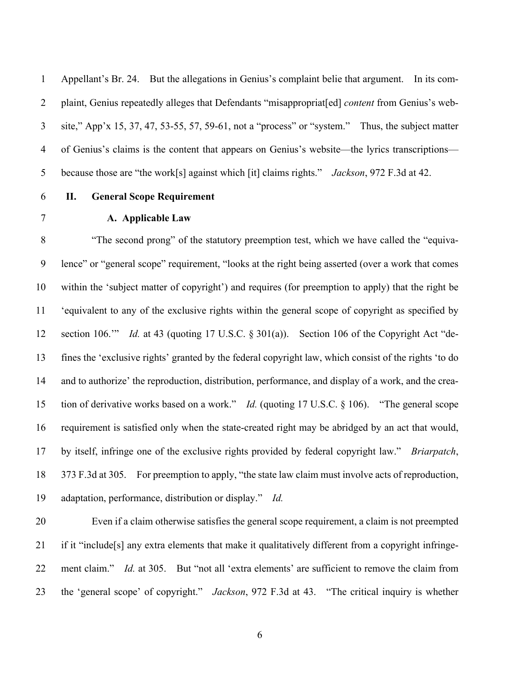Appellant's Br. 24. But the allegations in Genius's complaint belie that argument. In its com- plaint, Genius repeatedly alleges that Defendants "misappropriat[ed] *content* from Genius's web- site," App'x 15, 37, 47, 53-55, 57, 59-61, not a "process" or "system." Thus, the subject matter of Genius's claims is the content that appears on Genius's website—the lyrics transcriptions— because those are "the work[s] against which [it] claims rights." *Jackson*, 972 F.3d at 42.

## **II. General Scope Requirement**

#### **A. Applicable Law**

 "The second prong" of the statutory preemption test, which we have called the "equiva- lence" or "general scope" requirement, "looks at the right being asserted (over a work that comes within the 'subject matter of copyright') and requires (for preemption to apply) that the right be 'equivalent to any of the exclusive rights within the general scope of copyright as specified by section 106.'" *Id.* at 43 (quoting 17 U.S.C. § 301(a)). Section 106 of the Copyright Act "de- fines the 'exclusive rights' granted by the federal copyright law, which consist of the rights 'to do and to authorize' the reproduction, distribution, performance, and display of a work, and the crea- tion of derivative works based on a work." *Id.* (quoting 17 U.S.C. § 106). "The general scope requirement is satisfied only when the state-created right may be abridged by an act that would, by itself, infringe one of the exclusive rights provided by federal copyright law." *Briarpatch*, 373 F.3d at 305. For preemption to apply, "the state law claim must involve acts of reproduction, adaptation, performance, distribution or display." *Id.*

 Even if a claim otherwise satisfies the general scope requirement, a claim is not preempted if it "include[s] any extra elements that make it qualitatively different from a copyright infringe- ment claim." *Id.* at 305. But "not all 'extra elements' are sufficient to remove the claim from the 'general scope' of copyright." *Jackson*, 972 F.3d at 43. "The critical inquiry is whether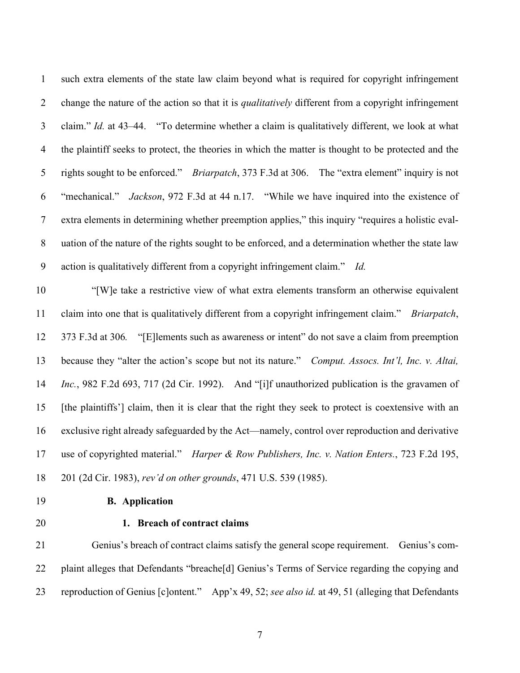such extra elements of the state law claim beyond what is required for copyright infringement change the nature of the action so that it is *qualitatively* different from a copyright infringement claim." *Id.* at 43–44. "To determine whether a claim is qualitatively different, we look at what the plaintiff seeks to protect, the theories in which the matter is thought to be protected and the rights sought to be enforced." *Briarpatch*, 373 F.3d at 306. The "extra element" inquiry is not "mechanical." *Jackson*, 972 F.3d at 44 n.17. "While we have inquired into the existence of extra elements in determining whether preemption applies," this inquiry "requires a holistic eval- uation of the nature of the rights sought to be enforced, and a determination whether the state law action is qualitatively different from a copyright infringement claim." *Id.*

 "[W]e take a restrictive view of what extra elements transform an otherwise equivalent claim into one that is qualitatively different from a copyright infringement claim." *Briarpatch*, 373 F.3d at 306*.* "[E]lements such as awareness or intent" do not save a claim from preemption because they "alter the action's scope but not its nature." *Comput. Assocs. Int'l, Inc. v. Altai, Inc.*, 982 F.2d 693, 717 (2d Cir. 1992). And "[i]f unauthorized publication is the gravamen of [the plaintiffs'] claim, then it is clear that the right they seek to protect is coextensive with an exclusive right already safeguarded by the Act—namely, control over reproduction and derivative use of copyrighted material." *Harper & Row Publishers, Inc. v. Nation Enters.*, 723 F.2d 195, 201 (2d Cir. 1983), *rev'd on other grounds*, 471 U.S. 539 (1985).

- 
- **B. Application**
- 

#### **1. Breach of contract claims**

 Genius's breach of contract claims satisfy the general scope requirement. Genius's com- plaint alleges that Defendants "breache[d] Genius's Terms of Service regarding the copying and reproduction of Genius [c]ontent." App'x 49, 52; *see also id.* at 49, 51 (alleging that Defendants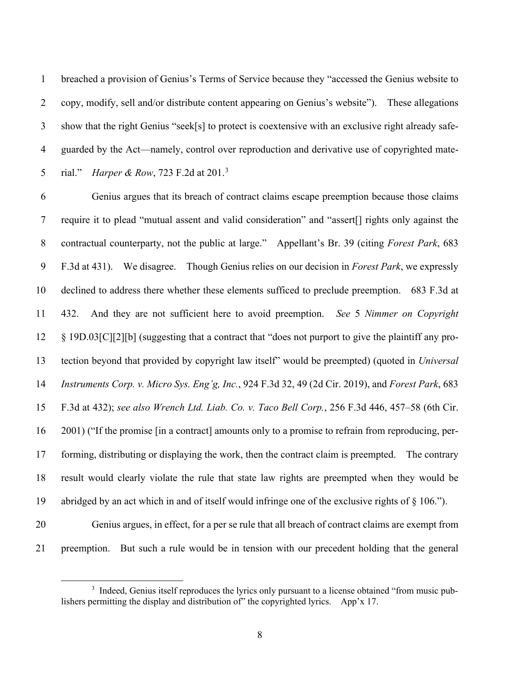breached a provision of Genius's Terms of Service because they "accessed the Genius website to copy, modify, sell and/or distribute content appearing on Genius's website"). These allegations show that the right Genius "seek[s] to protect is coextensive with an exclusive right already safe- guarded by the Act—namely, control over reproduction and derivative use of copyrighted mate-5 rial." *Harper & Row*, 72[3](#page-7-0) F.2d at 201.<sup>3</sup>

 Genius argues that its breach of contract claims escape preemption because those claims require it to plead "mutual assent and valid consideration" and "assert[] rights only against the contractual counterparty, not the public at large." Appellant's Br. 39 (citing *Forest Park*, 683 F.3d at 431). We disagree. Though Genius relies on our decision in *Forest Park*, we expressly declined to address there whether these elements sufficed to preclude preemption. 683 F.3d at 432. And they are not sufficient here to avoid preemption. *See* 5 *Nimmer on Copyright* § 19D.03[C][2][b] (suggesting that a contract that "does not purport to give the plaintiff any pro- tection beyond that provided by copyright law itself" would be preempted) (quoted in *Universal Instruments Corp. v. Micro Sys. Eng'g, Inc.*, 924 F.3d 32, 49 (2d Cir. 2019), and *Forest Park*, 683 F.3d at 432); *see also Wrench Ltd. Liab. Co. v. Taco Bell Corp.*, 256 F.3d 446, 457–58 (6th Cir. 2001) ("If the promise [in a contract] amounts only to a promise to refrain from reproducing, per- forming, distributing or displaying the work, then the contract claim is preempted. The contrary result would clearly violate the rule that state law rights are preempted when they would be abridged by an act which in and of itself would infringe one of the exclusive rights of § 106.").

 Genius argues, in effect, for a per se rule that all breach of contract claims are exempt from preemption. But such a rule would be in tension with our precedent holding that the general

<span id="page-7-0"></span><sup>&</sup>lt;sup>3</sup> Indeed, Genius itself reproduces the lyrics only pursuant to a license obtained "from music publishers permitting the display and distribution of" the copyrighted lyrics. App'x 17.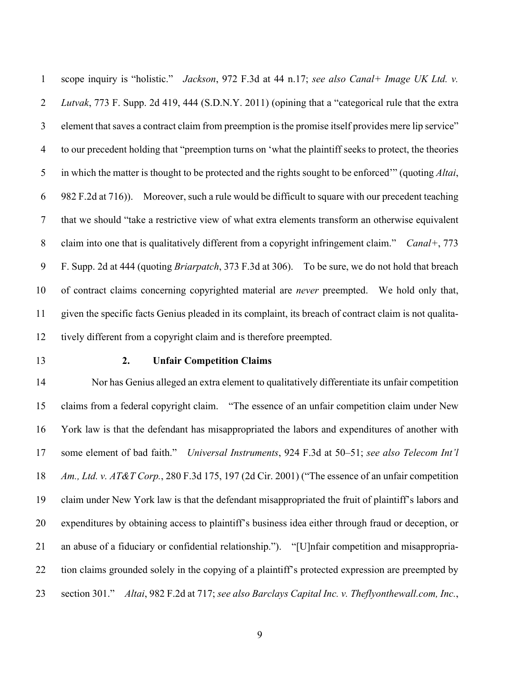scope inquiry is "holistic." *Jackson*, 972 F.3d at 44 n.17; *see also Canal+ Image UK Ltd. v. Lutvak*, 773 F. Supp. 2d 419, 444 (S.D.N.Y. 2011) (opining that a "categorical rule that the extra element that saves a contract claim from preemption is the promise itself provides mere lip service" to our precedent holding that "preemption turns on 'what the plaintiff seeks to protect, the theories in which the matter is thought to be protected and the rights sought to be enforced'" (quoting *Altai*, 982 F.2d at 716)). Moreover, such a rule would be difficult to square with our precedent teaching that we should "take a restrictive view of what extra elements transform an otherwise equivalent claim into one that is qualitatively different from a copyright infringement claim." *Canal+*, 773 F. Supp. 2d at 444 (quoting *Briarpatch*, 373 F.3d at 306). To be sure, we do not hold that breach of contract claims concerning copyrighted material are *never* preempted. We hold only that, given the specific facts Genius pleaded in its complaint, its breach of contract claim is not qualita-tively different from a copyright claim and is therefore preempted.

#### **2. Unfair Competition Claims**

 Nor has Genius alleged an extra element to qualitatively differentiate its unfair competition claims from a federal copyright claim. "The essence of an unfair competition claim under New York law is that the defendant has misappropriated the labors and expenditures of another with some element of bad faith." *Universal Instruments*, 924 F.3d at 50–51; *see also Telecom Int'l Am., Ltd. v. AT&T Corp.*, 280 F.3d 175, 197 (2d Cir. 2001) ("The essence of an unfair competition claim under New York law is that the defendant misappropriated the fruit of plaintiff's labors and expenditures by obtaining access to plaintiff's business idea either through fraud or deception, or an abuse of a fiduciary or confidential relationship."). "[U]nfair competition and misappropria- tion claims grounded solely in the copying of a plaintiff's protected expression are preempted by section 301." *Altai*, 982 F.2d at 717; *see also Barclays Capital Inc. v. Theflyonthewall.com, Inc.*,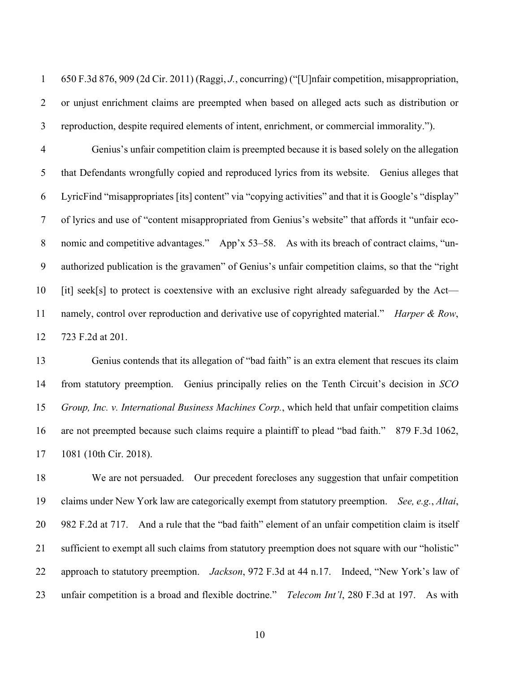650 F.3d 876, 909 (2d Cir. 2011) (Raggi, *J.*, concurring) ("[U]nfair competition, misappropriation, or unjust enrichment claims are preempted when based on alleged acts such as distribution or reproduction, despite required elements of intent, enrichment, or commercial immorality.").

 Genius's unfair competition claim is preempted because it is based solely on the allegation that Defendants wrongfully copied and reproduced lyrics from its website. Genius alleges that LyricFind "misappropriates [its] content" via "copying activities" and that it is Google's "display" of lyrics and use of "content misappropriated from Genius's website" that affords it "unfair eco-8 nomic and competitive advantages." App'x 53–58. As with its breach of contract claims, "un- authorized publication is the gravamen" of Genius's unfair competition claims, so that the "right [it] seek[s] to protect is coextensive with an exclusive right already safeguarded by the Act— namely, control over reproduction and derivative use of copyrighted material." *Harper & Row*, 723 F.2d at 201.

 Genius contends that its allegation of "bad faith" is an extra element that rescues its claim from statutory preemption. Genius principally relies on the Tenth Circuit's decision in *SCO Group, Inc. v. International Business Machines Corp.*, which held that unfair competition claims are not preempted because such claims require a plaintiff to plead "bad faith." 879 F.3d 1062, 1081 (10th Cir. 2018).

 We are not persuaded. Our precedent forecloses any suggestion that unfair competition claims under New York law are categorically exempt from statutory preemption. *See, e.g.*, *Altai*, 982 F.2d at 717. And a rule that the "bad faith" element of an unfair competition claim is itself sufficient to exempt all such claims from statutory preemption does not square with our "holistic" approach to statutory preemption. *Jackson*, 972 F.3d at 44 n.17. Indeed, "New York's law of unfair competition is a broad and flexible doctrine." *Telecom Int'l*, 280 F.3d at 197. As with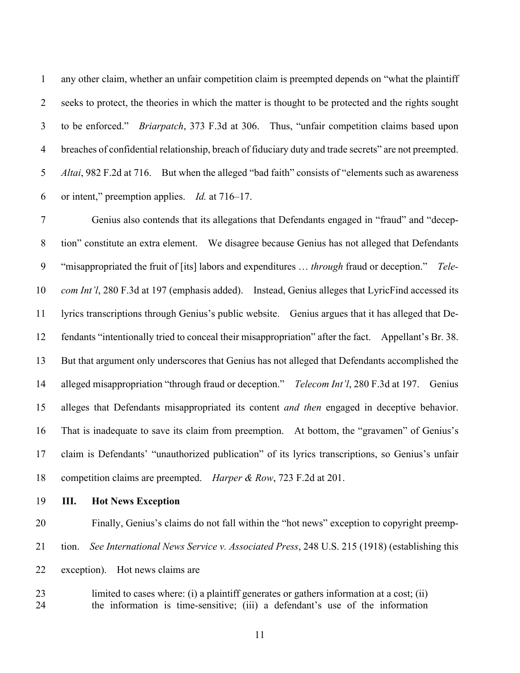any other claim, whether an unfair competition claim is preempted depends on "what the plaintiff seeks to protect, the theories in which the matter is thought to be protected and the rights sought to be enforced." *Briarpatch*, 373 F.3d at 306. Thus, "unfair competition claims based upon breaches of confidential relationship, breach of fiduciary duty and trade secrets" are not preempted. *Altai*, 982 F.2d at 716. But when the alleged "bad faith" consists of "elements such as awareness or intent," preemption applies. *Id.* at 716–17.

 Genius also contends that its allegations that Defendants engaged in "fraud" and "decep- tion" constitute an extra element. We disagree because Genius has not alleged that Defendants "misappropriated the fruit of [its] labors and expenditures … *through* fraud or deception." *Tele- com Int'l*, 280 F.3d at 197 (emphasis added). Instead, Genius alleges that LyricFind accessed its lyrics transcriptions through Genius's public website. Genius argues that it has alleged that De- fendants "intentionally tried to conceal their misappropriation" after the fact. Appellant's Br. 38. But that argument only underscores that Genius has not alleged that Defendants accomplished the alleged misappropriation "through fraud or deception." *Telecom Int'l*, 280 F.3d at 197. Genius alleges that Defendants misappropriated its content *and then* engaged in deceptive behavior. That is inadequate to save its claim from preemption. At bottom, the "gravamen" of Genius's claim is Defendants' "unauthorized publication" of its lyrics transcriptions, so Genius's unfair competition claims are preempted. *Harper & Row*, 723 F.2d at 201.

**III. Hot News Exception**

 Finally, Genius's claims do not fall within the "hot news" exception to copyright preemp- tion. *See International News Service v. Associated Press*, 248 U.S. 215 (1918) (establishing this exception). Hot news claims are

 limited to cases where: (i) a plaintiff generates or gathers information at a cost; (ii) the information is time-sensitive; (iii) a defendant's use of the information